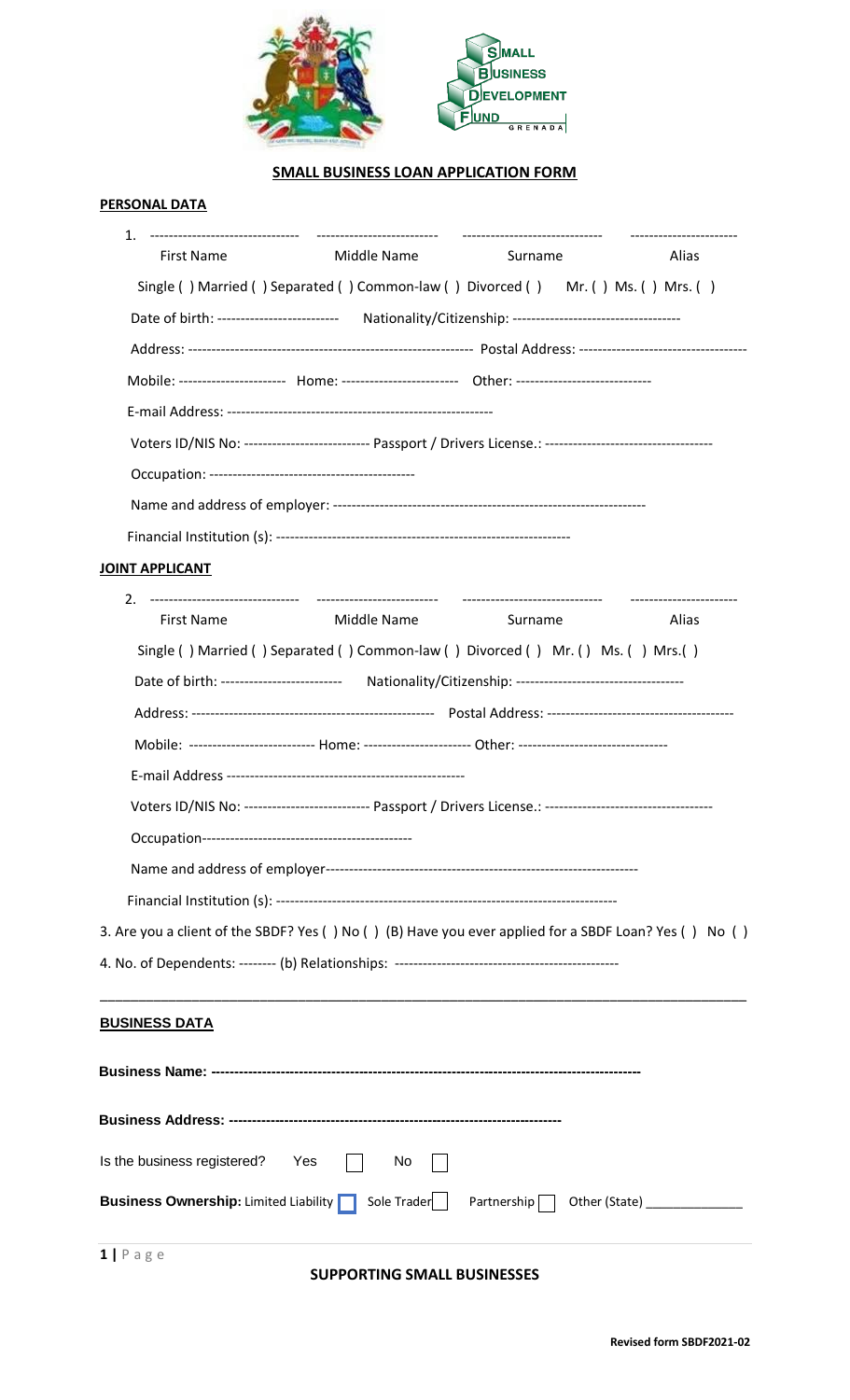

# **SMALL BUSINESS LOAN APPLICATION FORM**

#### **PERSONAL DATA**

| 1.<br><b>First Name</b>         | Middle Name                                                                                                   | Surname | Alias |
|---------------------------------|---------------------------------------------------------------------------------------------------------------|---------|-------|
|                                 | Single () Married () Separated () Common-law () Divorced () Mr. () Ms. () Mrs. ()                             |         |       |
|                                 |                                                                                                               |         |       |
|                                 |                                                                                                               |         |       |
|                                 | Mobile: ---------------------- Home: ------------------------- Other: -----------------------------           |         |       |
|                                 |                                                                                                               |         |       |
|                                 | Voters ID/NIS No: -------------------------- Passport / Drivers License.: ----------------------------------- |         |       |
|                                 |                                                                                                               |         |       |
|                                 |                                                                                                               |         |       |
|                                 |                                                                                                               |         |       |
| <b>JOINT APPLICANT</b>          |                                                                                                               |         |       |
| 2.                              |                                                                                                               |         |       |
| <b>First Name</b>               | Middle Name                                                                                                   | Surname | Alias |
|                                 | Single () Married () Separated () Common-law () Divorced () Mr. () Ms. () Mrs. ()                             |         |       |
|                                 | Date of birth: ------------------------- Nationality/Citizenship: ----------------------------------          |         |       |
|                                 |                                                                                                               |         |       |
|                                 | Mobile: -------------------------- Home: ------------------------ Other: --------------------------------     |         |       |
|                                 |                                                                                                               |         |       |
|                                 | Voters ID/NIS No: -------------------------- Passport / Drivers License.: ----------------------------------- |         |       |
|                                 |                                                                                                               |         |       |
|                                 |                                                                                                               |         |       |
|                                 |                                                                                                               |         |       |
|                                 | 3. Are you a client of the SBDF? Yes () No () (B) Have you ever applied for a SBDF Loan? Yes () No ()         |         |       |
|                                 |                                                                                                               |         |       |
| <b>BUSINESS DATA</b>            |                                                                                                               |         |       |
|                                 |                                                                                                               |         |       |
|                                 |                                                                                                               |         |       |
| Is the business registered? Yes | No.                                                                                                           |         |       |
|                                 | <b>Business Ownership:</b> Limited Liability Sole Trader Partnership 0ther (State) __________                 |         |       |
| $1   P \text{age}$              |                                                                                                               |         |       |

# **SUPPORTING SMALL BUSINESSES**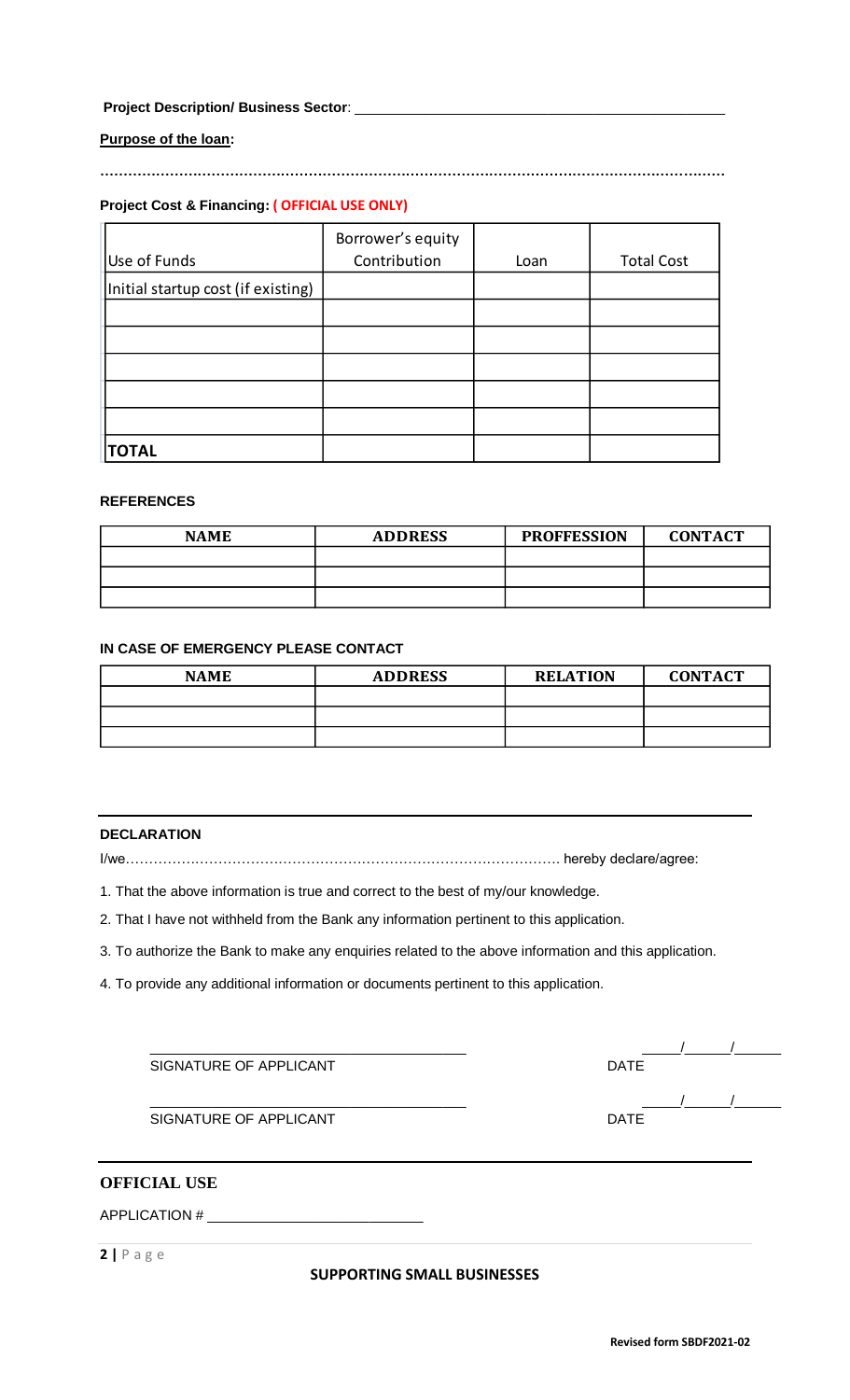# **Project Description/ Business Sector**: \_\_\_\_\_\_\_\_\_\_\_\_\_\_\_\_\_\_\_\_\_\_\_\_\_\_\_\_\_\_\_\_\_\_\_\_\_\_\_\_\_\_\_\_\_\_\_\_

#### **Purpose of the loan:**

**………………………………………………………………………………………………………………………**

# **Project Cost & Financing: ( OFFICIAL USE ONLY)**

|                                    | Borrower's equity |      |                   |
|------------------------------------|-------------------|------|-------------------|
| Use of Funds                       | Contribution      | Loan | <b>Total Cost</b> |
| Initial startup cost (if existing) |                   |      |                   |
|                                    |                   |      |                   |
|                                    |                   |      |                   |
|                                    |                   |      |                   |
|                                    |                   |      |                   |
|                                    |                   |      |                   |
| <b>TOTAL</b>                       |                   |      |                   |

# **REFERENCES**

| <b>NAME</b> | <b>ADDRESS</b> | <b>PROFFESSION</b> | <b>CONTACT</b> |
|-------------|----------------|--------------------|----------------|
|             |                |                    |                |
|             |                |                    |                |
|             |                |                    |                |

#### **IN CASE OF EMERGENCY PLEASE CONTACT**

| <b>NAME</b> | <b>ADDRESS</b> | <b>RELATION</b> | <b>CONTACT</b> |
|-------------|----------------|-----------------|----------------|
|             |                |                 |                |
|             |                |                 |                |
|             |                |                 |                |

#### **DECLARATION**

I/we…………………………………………………………………………………. hereby declare/agree:

1. That the above information is true and correct to the best of my/our knowledge.

2. That I have not withheld from the Bank any information pertinent to this application.

3. To authorize the Bank to make any enquiries related to the above information and this application.

4. To provide any additional information or documents pertinent to this application.

| SIGNATURE OF APPLICANT | <b>DATE</b> |
|------------------------|-------------|
|                        |             |
| SIGNATURE OF APPLICANT | <b>DATE</b> |

# **OFFICIAL USE**

APPLICATION #

**2 |** P a g e

#### **SUPPORTING SMALL BUSINESSES**